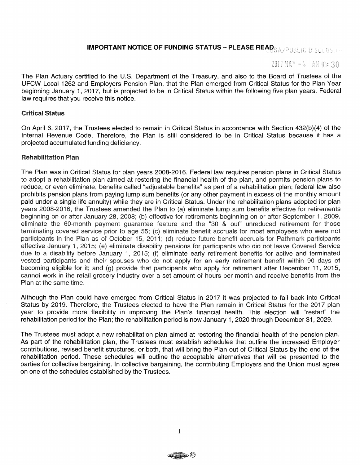# IMPORTANT NOTICE OF FUNDING STATUS - PLEASE READS A APUBLIC DISCLOSUM

# $2017$  MAY  $-4$  AM to: 30

The Plan Actuary certified to the U.S. Department of the Treasury, and also to the Board of Trustees of the UFCW Local 1262 and Employers Pension Plan, that the Plan emerged from Critical Status for the Plan Year beginning January 1, 2017, but is projected to be in Critical Status within the following five plan years. Federal law requires that you receive this notice.

### Critical Status

On April 6, 2017, the Trustees elected to remain in Critical Status in accordance with Section 432(b)(4) of the Internal Revenue Code. Therefore, the Plan is still considered to be in Critical Status because it has a projected accumulated funding deficiency.

## Rehabilitation Pian

The Plan was in Critical Status for plan years 2008-2016. Federal law requires pension plans in Critical Status to adopt a rehabilitation plan aimed at restoring the financial health of the plan, and permits pension plans to reduce, or even eliminate, benefits called "adjustable benefits" as part of a rehabilitation plan; federal law also prohibits pension plans from paying lump sum benefits (or any other payment in excess of the monthly amount paid under a single life annuity) while they are in Critical Status. Under the rehabilitation plans adopted for plan years 2008-2016, the Trustees amended the Plan to (a) eliminate lump sum benefits effective for retirements beginning on or after January 28, 2008; (b) effective for retirements beginning on or after September 1, 2009, eliminate the 60-month payment guarantee feature and the "30 & out" unreduced retirement for those terminating covered service prior to age 55; (c) eliminate benefit accruals for most employees who were not participants in the Plan as of October 15, 2011; (d) reduce future benefit accruals for Pathmark participants effective January 1, 2015; (e) eliminate disability pensions for participants who did not leave Covered Service due to a disability before January 1, 2015; (f) eliminate early retirement benefits for active and terminated vested participants and their spouses who do not apply for an early retirement benefit within 90 days of becoming eligible for it; and (g) provide that participants who apply for retirement after December 11, 2015, cannot work in the retail grocery industry over a set amount of hours per month and receive benefits from the Plan at the same time.

Although the Plan could have emerged from Critical Status in 2017 it was projected to fall back into Critical Status by 2019. Therefore, the Trustees elected to have the Plan remain in Critical Status for the 2017 plan year to provide more flexibility in improving the Plan's financial health. This election will "restart" the rehabilitation period for the Plan; the rehabilitation period is now January 1, 2020 through December 31, 2029.

The Trustees must adopt a new rehabilitation plan aimed at restoring the financial health of the pension plan. As part of the rehabilitation plan, the Trustees must establish schedules that outline the increased Employer contributions, revised benefit structures, or both, that will bring the Plan out of Critical Status by the end of the rehabilitation period. These schedules will outline the acceptable alternatives that will be presented to the parties for collective bargaining. In collective bargaining, the contributing Employers and the Union must agree on one of the schedules established by the Trustees.